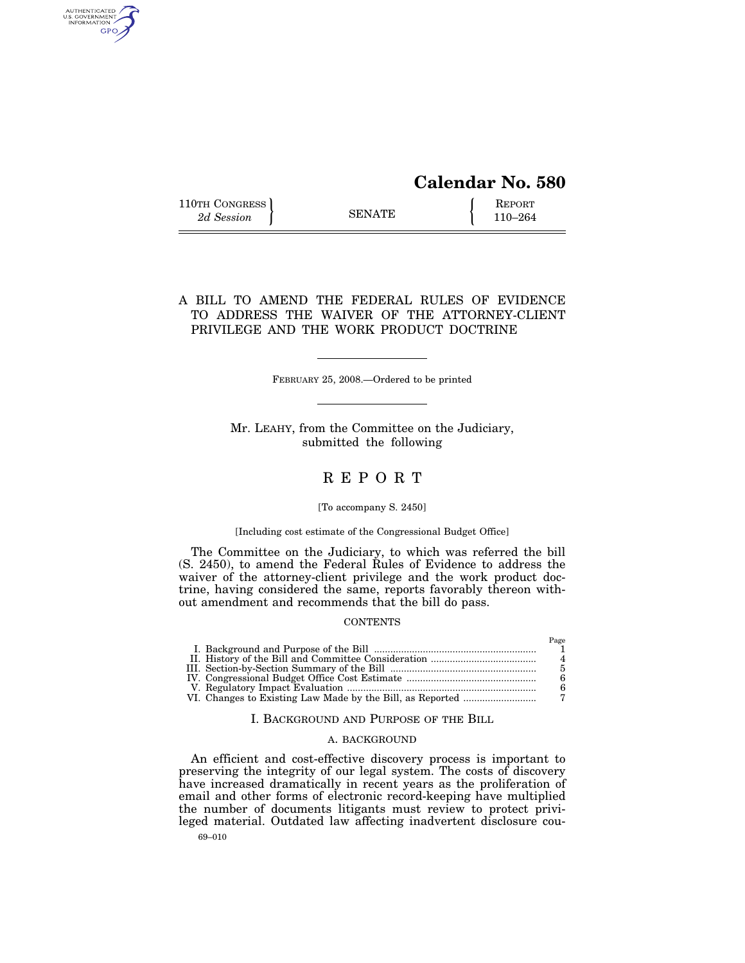## **Calendar No. 580**

110TH CONGRESS <br>
2d Session SENATE [REPORT 110-964 2d Session **6 6 SENATE** 110–264

AUTHENTICATED<br>U.S. GOVERNMENT<br>INFORMATION GPO

A BILL TO AMEND THE FEDERAL RULES OF EVIDENCE TO ADDRESS THE WAIVER OF THE ATTORNEY-CLIENT PRIVILEGE AND THE WORK PRODUCT DOCTRINE

FEBRUARY 25, 2008.—Ordered to be printed

Mr. LEAHY, from the Committee on the Judiciary, submitted the following

### R E P O R T

#### [To accompany S. 2450]

#### [Including cost estimate of the Congressional Budget Office]

The Committee on the Judiciary, to which was referred the bill (S. 2450), to amend the Federal Rules of Evidence to address the waiver of the attorney-client privilege and the work product doctrine, having considered the same, reports favorably thereon without amendment and recommends that the bill do pass.

#### **CONTENTS**

|  | Page |
|--|------|
|  |      |
|  |      |
|  | 5    |
|  | 6    |
|  |      |
|  |      |

#### I. BACKGROUND AND PURPOSE OF THE BILL

#### A. BACKGROUND

69–010 An efficient and cost-effective discovery process is important to preserving the integrity of our legal system. The costs of discovery have increased dramatically in recent years as the proliferation of email and other forms of electronic record-keeping have multiplied the number of documents litigants must review to protect privileged material. Outdated law affecting inadvertent disclosure cou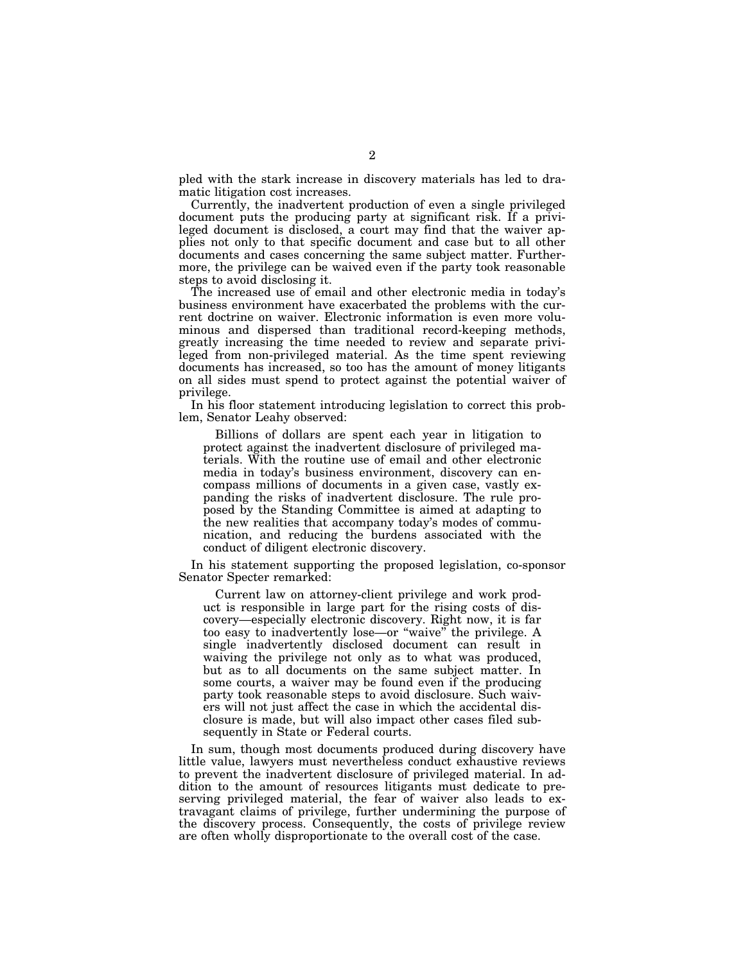pled with the stark increase in discovery materials has led to dramatic litigation cost increases.

Currently, the inadvertent production of even a single privileged document puts the producing party at significant risk. If a privileged document is disclosed, a court may find that the waiver applies not only to that specific document and case but to all other documents and cases concerning the same subject matter. Furthermore, the privilege can be waived even if the party took reasonable steps to avoid disclosing it.

The increased use of email and other electronic media in today's business environment have exacerbated the problems with the current doctrine on waiver. Electronic information is even more voluminous and dispersed than traditional record-keeping methods, greatly increasing the time needed to review and separate privileged from non-privileged material. As the time spent reviewing documents has increased, so too has the amount of money litigants on all sides must spend to protect against the potential waiver of privilege.

In his floor statement introducing legislation to correct this problem, Senator Leahy observed:

Billions of dollars are spent each year in litigation to protect against the inadvertent disclosure of privileged materials. With the routine use of email and other electronic media in today's business environment, discovery can encompass millions of documents in a given case, vastly expanding the risks of inadvertent disclosure. The rule proposed by the Standing Committee is aimed at adapting to the new realities that accompany today's modes of communication, and reducing the burdens associated with the conduct of diligent electronic discovery.

In his statement supporting the proposed legislation, co-sponsor Senator Specter remarked:

Current law on attorney-client privilege and work product is responsible in large part for the rising costs of discovery—especially electronic discovery. Right now, it is far too easy to inadvertently lose—or ''waive'' the privilege. A single inadvertently disclosed document can result in waiving the privilege not only as to what was produced, but as to all documents on the same subject matter. In some courts, a waiver may be found even if the producing party took reasonable steps to avoid disclosure. Such waivers will not just affect the case in which the accidental disclosure is made, but will also impact other cases filed subsequently in State or Federal courts.

In sum, though most documents produced during discovery have little value, lawyers must nevertheless conduct exhaustive reviews to prevent the inadvertent disclosure of privileged material. In addition to the amount of resources litigants must dedicate to preserving privileged material, the fear of waiver also leads to extravagant claims of privilege, further undermining the purpose of the discovery process. Consequently, the costs of privilege review are often wholly disproportionate to the overall cost of the case.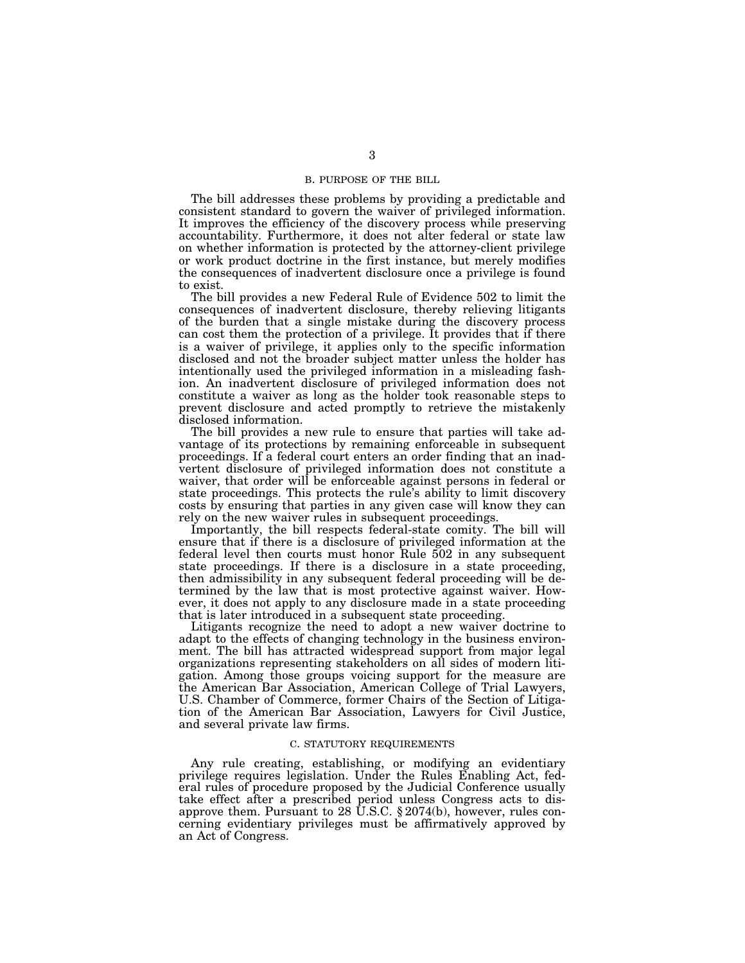#### B. PURPOSE OF THE BILL

The bill addresses these problems by providing a predictable and consistent standard to govern the waiver of privileged information. It improves the efficiency of the discovery process while preserving accountability. Furthermore, it does not alter federal or state law on whether information is protected by the attorney-client privilege or work product doctrine in the first instance, but merely modifies the consequences of inadvertent disclosure once a privilege is found to exist.

The bill provides a new Federal Rule of Evidence 502 to limit the consequences of inadvertent disclosure, thereby relieving litigants of the burden that a single mistake during the discovery process can cost them the protection of a privilege. It provides that if there is a waiver of privilege, it applies only to the specific information disclosed and not the broader subject matter unless the holder has intentionally used the privileged information in a misleading fashion. An inadvertent disclosure of privileged information does not constitute a waiver as long as the holder took reasonable steps to prevent disclosure and acted promptly to retrieve the mistakenly disclosed information.

The bill provides a new rule to ensure that parties will take advantage of its protections by remaining enforceable in subsequent proceedings. If a federal court enters an order finding that an inadvertent disclosure of privileged information does not constitute a waiver, that order will be enforceable against persons in federal or state proceedings. This protects the rule's ability to limit discovery costs by ensuring that parties in any given case will know they can rely on the new waiver rules in subsequent proceedings.

Importantly, the bill respects federal-state comity. The bill will ensure that if there is a disclosure of privileged information at the federal level then courts must honor Rule 502 in any subsequent state proceedings. If there is a disclosure in a state proceeding, then admissibility in any subsequent federal proceeding will be determined by the law that is most protective against waiver. However, it does not apply to any disclosure made in a state proceeding that is later introduced in a subsequent state proceeding.

Litigants recognize the need to adopt a new waiver doctrine to adapt to the effects of changing technology in the business environment. The bill has attracted widespread support from major legal organizations representing stakeholders on all sides of modern litigation. Among those groups voicing support for the measure are the American Bar Association, American College of Trial Lawyers, U.S. Chamber of Commerce, former Chairs of the Section of Litigation of the American Bar Association, Lawyers for Civil Justice, and several private law firms.

#### C. STATUTORY REQUIREMENTS

Any rule creating, establishing, or modifying an evidentiary privilege requires legislation. Under the Rules Enabling Act, federal rules of procedure proposed by the Judicial Conference usually take effect after a prescribed period unless Congress acts to disapprove them. Pursuant to 28 U.S.C. § 2074(b), however, rules concerning evidentiary privileges must be affirmatively approved by an Act of Congress.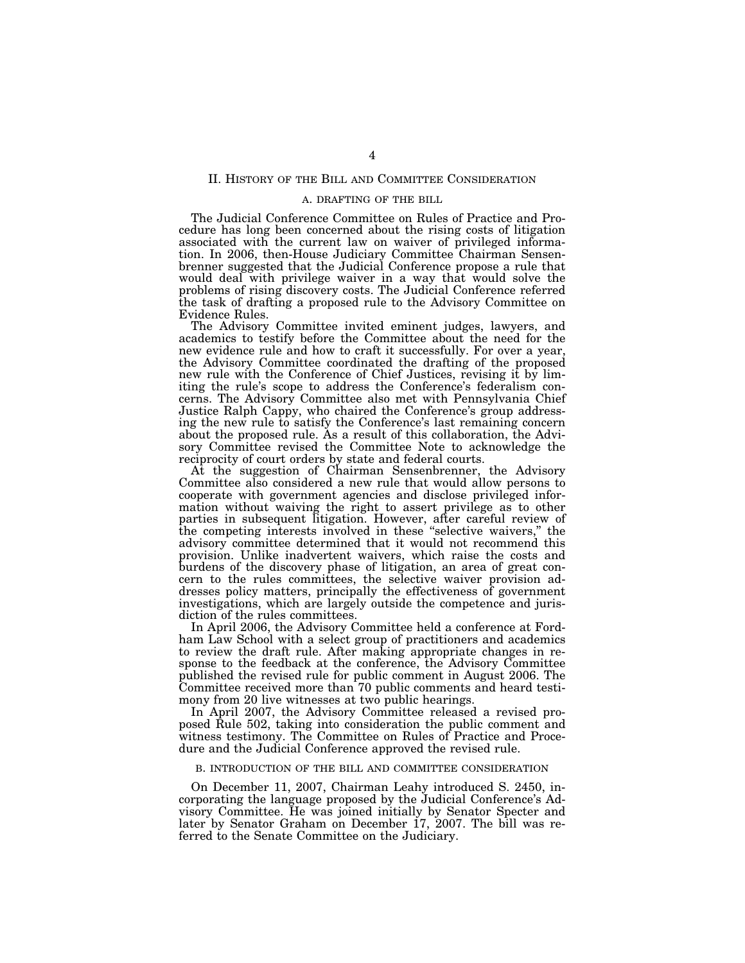#### II. HISTORY OF THE BILL AND COMMITTEE CONSIDERATION

#### A. DRAFTING OF THE BILL

The Judicial Conference Committee on Rules of Practice and Procedure has long been concerned about the rising costs of litigation associated with the current law on waiver of privileged information. In 2006, then-House Judiciary Committee Chairman Sensenbrenner suggested that the Judicial Conference propose a rule that would deal with privilege waiver in a way that would solve the problems of rising discovery costs. The Judicial Conference referred the task of drafting a proposed rule to the Advisory Committee on Evidence Rules.

The Advisory Committee invited eminent judges, lawyers, and academics to testify before the Committee about the need for the new evidence rule and how to craft it successfully. For over a year, the Advisory Committee coordinated the drafting of the proposed new rule with the Conference of Chief Justices, revising it by limiting the rule's scope to address the Conference's federalism concerns. The Advisory Committee also met with Pennsylvania Chief Justice Ralph Cappy, who chaired the Conference's group addressing the new rule to satisfy the Conference's last remaining concern about the proposed rule. As a result of this collaboration, the Advisory Committee revised the Committee Note to acknowledge the reciprocity of court orders by state and federal courts.

At the suggestion of Chairman Sensenbrenner, the Advisory Committee also considered a new rule that would allow persons to cooperate with government agencies and disclose privileged information without waiving the right to assert privilege as to other parties in subsequent litigation. However, after careful review of the competing interests involved in these ''selective waivers,'' the advisory committee determined that it would not recommend this provision. Unlike inadvertent waivers, which raise the costs and burdens of the discovery phase of litigation, an area of great concern to the rules committees, the selective waiver provision addresses policy matters, principally the effectiveness of government investigations, which are largely outside the competence and jurisdiction of the rules committees.

In April 2006, the Advisory Committee held a conference at Fordham Law School with a select group of practitioners and academics to review the draft rule. After making appropriate changes in response to the feedback at the conference, the Advisory Committee published the revised rule for public comment in August 2006. The Committee received more than 70 public comments and heard testimony from 20 live witnesses at two public hearings.

In April 2007, the Advisory Committee released a revised proposed Rule 502, taking into consideration the public comment and witness testimony. The Committee on Rules of Practice and Procedure and the Judicial Conference approved the revised rule.

#### B. INTRODUCTION OF THE BILL AND COMMITTEE CONSIDERATION

On December 11, 2007, Chairman Leahy introduced S. 2450, incorporating the language proposed by the Judicial Conference's Advisory Committee. He was joined initially by Senator Specter and later by Senator Graham on December 17, 2007. The bill was referred to the Senate Committee on the Judiciary.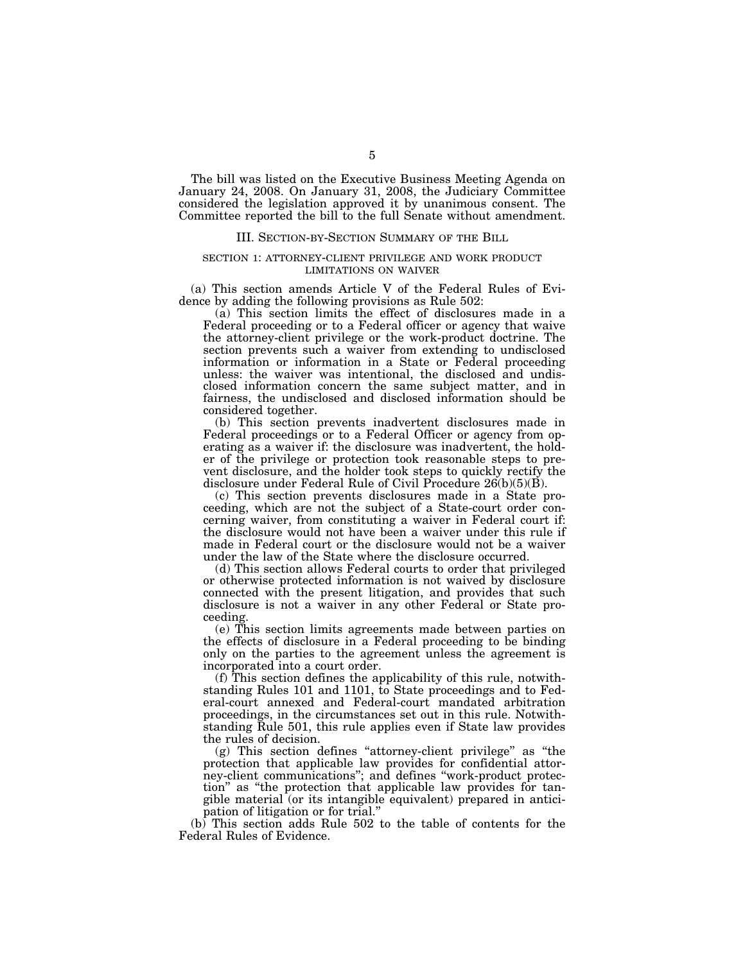The bill was listed on the Executive Business Meeting Agenda on January 24, 2008. On January 31, 2008, the Judiciary Committee considered the legislation approved it by unanimous consent. The Committee reported the bill to the full Senate without amendment.

#### III. SECTION-BY-SECTION SUMMARY OF THE BILL

#### SECTION 1: ATTORNEY-CLIENT PRIVILEGE AND WORK PRODUCT LIMITATIONS ON WAIVER

(a) This section amends Article V of the Federal Rules of Evidence by adding the following provisions as Rule 502:

(a) This section limits the effect of disclosures made in a Federal proceeding or to a Federal officer or agency that waive the attorney-client privilege or the work-product doctrine. The section prevents such a waiver from extending to undisclosed information or information in a State or Federal proceeding unless: the waiver was intentional, the disclosed and undisclosed information concern the same subject matter, and in fairness, the undisclosed and disclosed information should be considered together.

(b) This section prevents inadvertent disclosures made in Federal proceedings or to a Federal Officer or agency from operating as a waiver if: the disclosure was inadvertent, the holder of the privilege or protection took reasonable steps to prevent disclosure, and the holder took steps to quickly rectify the disclosure under Federal Rule of Civil Procedure 26(b)(5)(B).

(c) This section prevents disclosures made in a State proceeding, which are not the subject of a State-court order concerning waiver, from constituting a waiver in Federal court if: the disclosure would not have been a waiver under this rule if made in Federal court or the disclosure would not be a waiver under the law of the State where the disclosure occurred.

(d) This section allows Federal courts to order that privileged or otherwise protected information is not waived by disclosure connected with the present litigation, and provides that such disclosure is not a waiver in any other Federal or State proceeding.

(e) This section limits agreements made between parties on the effects of disclosure in a Federal proceeding to be binding only on the parties to the agreement unless the agreement is incorporated into a court order.

(f) This section defines the applicability of this rule, notwithstanding Rules 101 and 1101, to State proceedings and to Federal-court annexed and Federal-court mandated arbitration proceedings, in the circumstances set out in this rule. Notwithstanding Rule 501, this rule applies even if State law provides the rules of decision.

(g) This section defines ''attorney-client privilege'' as ''the protection that applicable law provides for confidential attorney-client communications''; and defines ''work-product protection'' as ''the protection that applicable law provides for tangible material (or its intangible equivalent) prepared in anticipation of litigation or for trial.''

(b) This section adds Rule 502 to the table of contents for the Federal Rules of Evidence.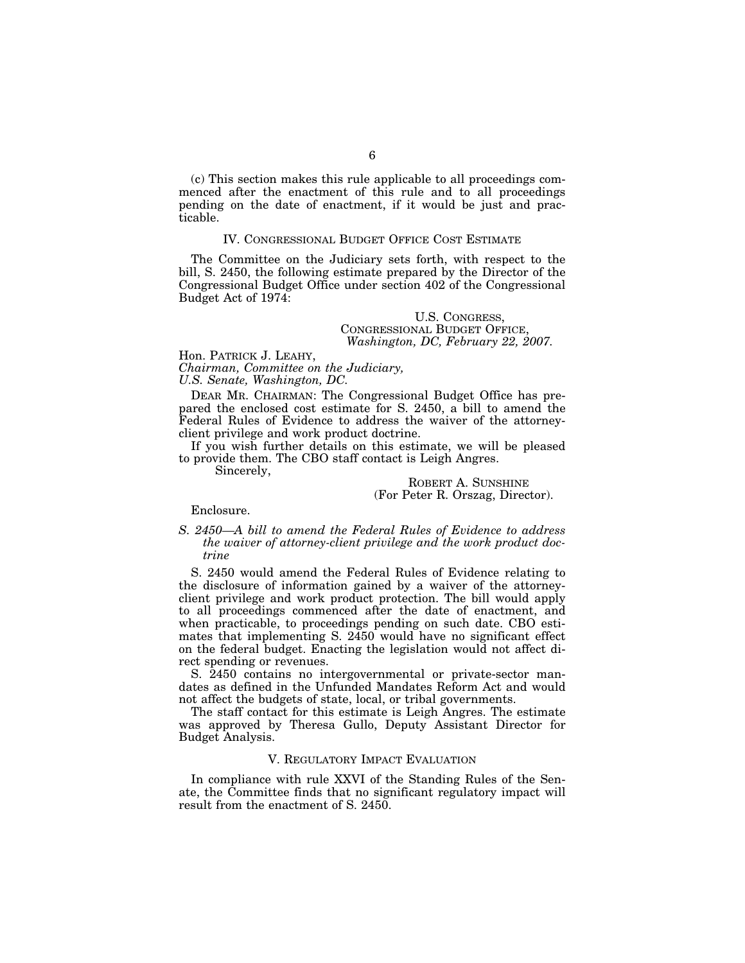(c) This section makes this rule applicable to all proceedings commenced after the enactment of this rule and to all proceedings pending on the date of enactment, if it would be just and practicable.

#### IV. CONGRESSIONAL BUDGET OFFICE COST ESTIMATE

The Committee on the Judiciary sets forth, with respect to the bill, S. 2450, the following estimate prepared by the Director of the Congressional Budget Office under section 402 of the Congressional Budget Act of 1974:

#### U.S. CONGRESS, CONGRESSIONAL BUDGET OFFICE, *Washington, DC, February 22, 2007.*

Hon. PATRICK J. LEAHY, *Chairman, Committee on the Judiciary, U.S. Senate, Washington, DC.* 

DEAR MR. CHAIRMAN: The Congressional Budget Office has prepared the enclosed cost estimate for S. 2450, a bill to amend the Federal Rules of Evidence to address the waiver of the attorneyclient privilege and work product doctrine.

If you wish further details on this estimate, we will be pleased to provide them. The CBO staff contact is Leigh Angres. Sincerely,

ROBERT A. SUNSHINE (For Peter R. Orszag, Director).

Enclosure.

#### *S. 2450—A bill to amend the Federal Rules of Evidence to address the waiver of attorney-client privilege and the work product doctrine*

S. 2450 would amend the Federal Rules of Evidence relating to the disclosure of information gained by a waiver of the attorneyclient privilege and work product protection. The bill would apply to all proceedings commenced after the date of enactment, and when practicable, to proceedings pending on such date. CBO estimates that implementing S. 2450 would have no significant effect on the federal budget. Enacting the legislation would not affect direct spending or revenues.

S. 2450 contains no intergovernmental or private-sector mandates as defined in the Unfunded Mandates Reform Act and would not affect the budgets of state, local, or tribal governments.

The staff contact for this estimate is Leigh Angres. The estimate was approved by Theresa Gullo, Deputy Assistant Director for Budget Analysis.

#### V. REGULATORY IMPACT EVALUATION

In compliance with rule XXVI of the Standing Rules of the Senate, the Committee finds that no significant regulatory impact will result from the enactment of S. 2450.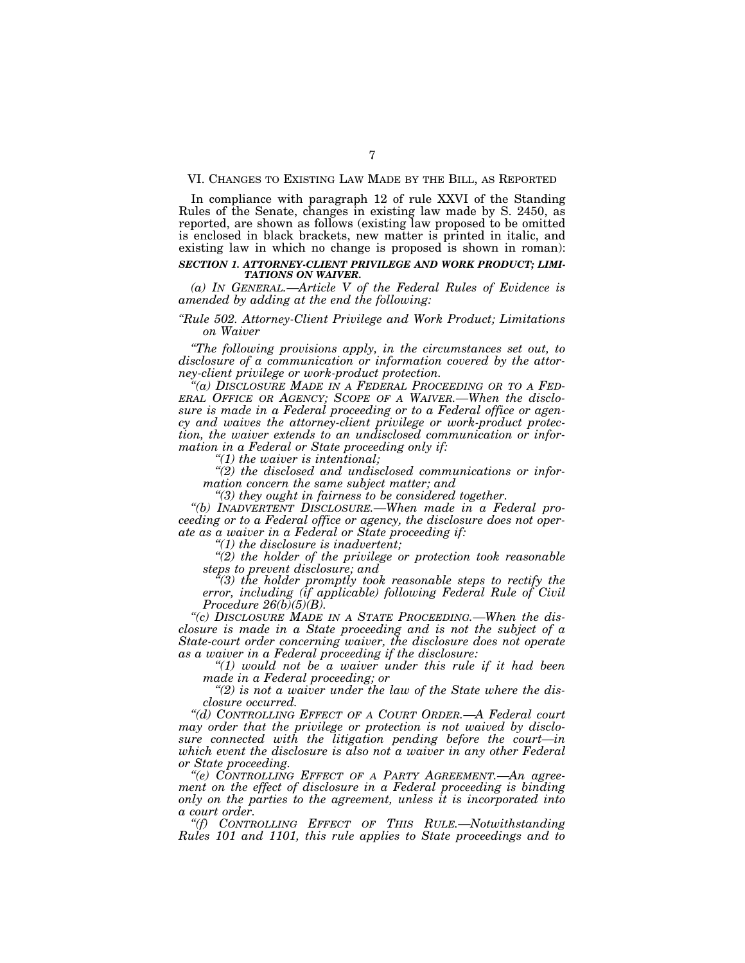#### VI. CHANGES TO EXISTING LAW MADE BY THE BILL, AS REPORTED

In compliance with paragraph 12 of rule XXVI of the Standing Rules of the Senate, changes in existing law made by S. 2450, as reported, are shown as follows (existing law proposed to be omitted is enclosed in black brackets, new matter is printed in italic, and existing law in which no change is proposed is shown in roman): *SECTION 1. ATTORNEY-CLIENT PRIVILEGE AND WORK PRODUCT; LIMI-*

# *TATIONS ON WAIVER.*

*(a) IN GENERAL.—Article V of the Federal Rules of Evidence is amended by adding at the end the following:* 

#### *''Rule 502. Attorney-Client Privilege and Work Product; Limitations on Waiver*

*''The following provisions apply, in the circumstances set out, to disclosure of a communication or information covered by the attorney-client privilege or work-product protection.* 

*''(a) DISCLOSURE MADE IN A FEDERAL PROCEEDING OR TO A FED-ERAL OFFICE OR AGENCY; SCOPE OF A WAIVER.—When the disclosure is made in a Federal proceeding or to a Federal office or agency and waives the attorney-client privilege or work-product protection, the waiver extends to an undisclosed communication or information in a Federal or State proceeding only if:* 

*''(1) the waiver is intentional;* 

*''(2) the disclosed and undisclosed communications or information concern the same subject matter; and* 

*''(3) they ought in fairness to be considered together.* 

*''(b) INADVERTENT DISCLOSURE.—When made in a Federal proceeding or to a Federal office or agency, the disclosure does not operate as a waiver in a Federal or State proceeding if:* 

*''(1) the disclosure is inadvertent;* 

*''(2) the holder of the privilege or protection took reasonable steps to prevent disclosure; and* 

*''(3) the holder promptly took reasonable steps to rectify the error, including (if applicable) following Federal Rule of Civil Procedure 26(b)(5)(B).* 

*''(c) DISCLOSURE MADE IN A STATE PROCEEDING.—When the disclosure is made in a State proceeding and is not the subject of a State-court order concerning waiver, the disclosure does not operate as a waiver in a Federal proceeding if the disclosure:* 

*''(1) would not be a waiver under this rule if it had been made in a Federal proceeding; or* 

*''(2) is not a waiver under the law of the State where the disclosure occurred.* 

*''(d) CONTROLLING EFFECT OF A COURT ORDER.—A Federal court may order that the privilege or protection is not waived by disclosure connected with the litigation pending before the court—in which event the disclosure is also not a waiver in any other Federal or State proceeding. ''(e) CONTROLLING EFFECT OF A PARTY AGREEMENT.—An agree-*

*ment on the effect of disclosure in a Federal proceeding is binding only on the parties to the agreement, unless it is incorporated into a court order.* 

*''(f) CONTROLLING EFFECT OF THIS RULE.—Notwithstanding Rules 101 and 1101, this rule applies to State proceedings and to*